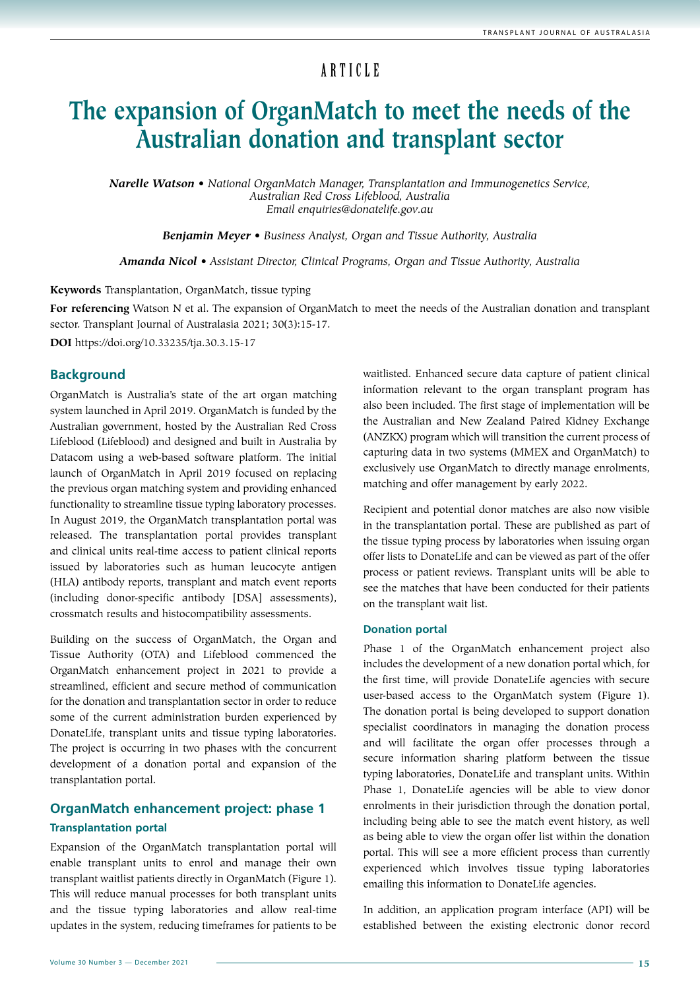# ARTICLE

# **The expansion of OrganMatch to meet the needs of the Australian donation and transplant sector**

*Narelle Watson • National OrganMatch Manager, Transplantation and Immunogenetics Service, Australian Red Cross Lifeblood, Australia Email enquiries@donatelife.gov.au*

*Benjamin Meyer • Business Analyst, Organ and Tissue Authority, Australia*

*Amanda Nicol • Assistant Director, Clinical Programs, Organ and Tissue Authority, Australia*

**Keywords** Transplantation, OrganMatch, tissue typing

**For referencing** Watson N et al. The expansion of OrganMatch to meet the needs of the Australian donation and transplant sector. Transplant Journal of Australasia 2021; 30(3):15-17.

**DOI** https://doi.org/10.33235/tja.30.3.15-17

#### **Background**

OrganMatch is Australia's state of the art organ matching system launched in April 2019. OrganMatch is funded by the Australian government, hosted by the Australian Red Cross Lifeblood (Lifeblood) and designed and built in Australia by Datacom using a web-based software platform. The initial launch of OrganMatch in April 2019 focused on replacing the previous organ matching system and providing enhanced functionality to streamline tissue typing laboratory processes. In August 2019, the OrganMatch transplantation portal was released. The transplantation portal provides transplant and clinical units real-time access to patient clinical reports issued by laboratories such as human leucocyte antigen (HLA) antibody reports, transplant and match event reports (including donor-specific antibody [DSA] assessments), crossmatch results and histocompatibility assessments.

Building on the success of OrganMatch, the Organ and Tissue Authority (OTA) and Lifeblood commenced the OrganMatch enhancement project in 2021 to provide a streamlined, efficient and secure method of communication for the donation and transplantation sector in order to reduce some of the current administration burden experienced by DonateLife, transplant units and tissue typing laboratories. The project is occurring in two phases with the concurrent development of a donation portal and expansion of the transplantation portal.

# **OrganMatch enhancement project: phase 1 Transplantation portal**

Expansion of the OrganMatch transplantation portal will enable transplant units to enrol and manage their own transplant waitlist patients directly in OrganMatch (Figure 1). This will reduce manual processes for both transplant units and the tissue typing laboratories and allow real-time updates in the system, reducing timeframes for patients to be waitlisted. Enhanced secure data capture of patient clinical information relevant to the organ transplant program has also been included. The first stage of implementation will be the Australian and New Zealand Paired Kidney Exchange (ANZKX) program which will transition the current process of capturing data in two systems (MMEX and OrganMatch) to exclusively use OrganMatch to directly manage enrolments, matching and offer management by early 2022.

Recipient and potential donor matches are also now visible in the transplantation portal. These are published as part of the tissue typing process by laboratories when issuing organ offer lists to DonateLife and can be viewed as part of the offer process or patient reviews. Transplant units will be able to see the matches that have been conducted for their patients on the transplant wait list.

#### **Donation portal**

Phase 1 of the OrganMatch enhancement project also includes the development of a new donation portal which, for the first time, will provide DonateLife agencies with secure user-based access to the OrganMatch system (Figure 1). The donation portal is being developed to support donation specialist coordinators in managing the donation process and will facilitate the organ offer processes through a secure information sharing platform between the tissue typing laboratories, DonateLife and transplant units. Within Phase 1, DonateLife agencies will be able to view donor enrolments in their jurisdiction through the donation portal, including being able to see the match event history, as well as being able to view the organ offer list within the donation portal. This will see a more efficient process than currently experienced which involves tissue typing laboratories emailing this information to DonateLife agencies.

In addition, an application program interface (API) will be established between the existing electronic donor record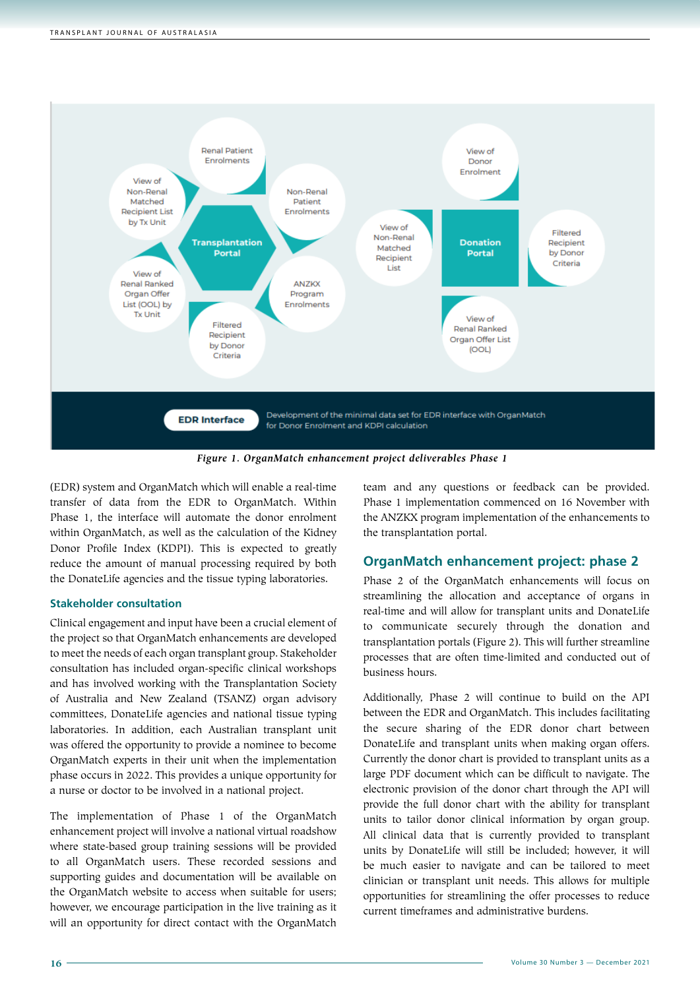

*Figure 1. OrganMatch enhancement project deliverables Phase 1*

(EDR) system and OrganMatch which will enable a real-time transfer of data from the EDR to OrganMatch. Within Phase 1, the interface will automate the donor enrolment within OrganMatch, as well as the calculation of the Kidney Donor Profile Index (KDPI). This is expected to greatly reduce the amount of manual processing required by both the DonateLife agencies and the tissue typing laboratories.

#### **Stakeholder consultation**

Clinical engagement and input have been a crucial element of the project so that OrganMatch enhancements are developed to meet the needs of each organ transplant group. Stakeholder consultation has included organ-specific clinical workshops and has involved working with the Transplantation Society of Australia and New Zealand (TSANZ) organ advisory committees, DonateLife agencies and national tissue typing laboratories. In addition, each Australian transplant unit was offered the opportunity to provide a nominee to become OrganMatch experts in their unit when the implementation phase occurs in 2022. This provides a unique opportunity for a nurse or doctor to be involved in a national project.

The implementation of Phase 1 of the OrganMatch enhancement project will involve a national virtual roadshow where state-based group training sessions will be provided to all OrganMatch users. These recorded sessions and supporting guides and documentation will be available on the OrganMatch website to access when suitable for users; however, we encourage participation in the live training as it will an opportunity for direct contact with the OrganMatch

team and any questions or feedback can be provided. Phase 1 implementation commenced on 16 November with the ANZKX program implementation of the enhancements to the transplantation portal.

#### **OrganMatch enhancement project: phase 2**

Phase 2 of the OrganMatch enhancements will focus on streamlining the allocation and acceptance of organs in real-time and will allow for transplant units and DonateLife to communicate securely through the donation and transplantation portals (Figure 2). This will further streamline processes that are often time-limited and conducted out of business hours.

Additionally, Phase 2 will continue to build on the API between the EDR and OrganMatch. This includes facilitating the secure sharing of the EDR donor chart between DonateLife and transplant units when making organ offers. Currently the donor chart is provided to transplant units as a large PDF document which can be difficult to navigate. The electronic provision of the donor chart through the API will provide the full donor chart with the ability for transplant units to tailor donor clinical information by organ group. All clinical data that is currently provided to transplant units by DonateLife will still be included; however, it will be much easier to navigate and can be tailored to meet clinician or transplant unit needs. This allows for multiple opportunities for streamlining the offer processes to reduce current timeframes and administrative burdens.